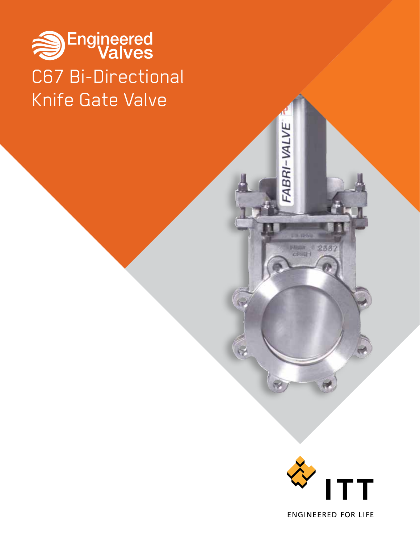# Sengineered C67 Bi-Directional Knife Gate Valve



FABRI-VALVE

**Car White** 

 $rac{1}{100}$   $rac{2337}{100}$ 

**ENGINEERED FOR LIFE**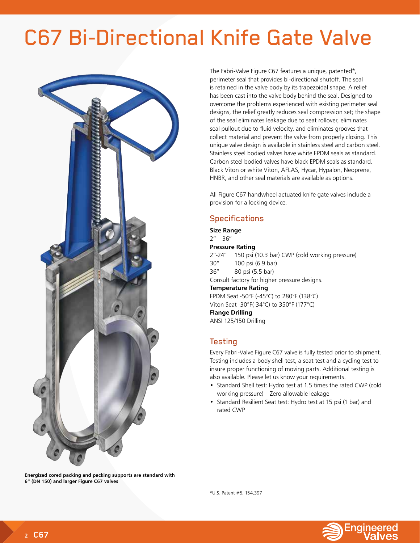## C67 Bi-Directional Knife Gate Valve



**Energized cored packing and packing supports are standard with 6" (DN 150) and larger Figure C67 valves**

The Fabri-Valve Figure C67 features a unique, patented\*, perimeter seal that provides bi-directional shutoff. The seal is retained in the valve body by its trapezoidal shape. A relief has been cast into the valve body behind the seal. Designed to overcome the problems experienced with existing perimeter seal designs, the relief greatly reduces seal compression set; the shape of the seal eliminates leakage due to seat rollover, eliminates seal pullout due to fluid velocity, and eliminates grooves that collect material and prevent the valve from properly closing. This unique valve design is available in stainless steel and carbon steel. Stainless steel bodied valves have white EPDM seals as standard. Carbon steel bodied valves have black EPDM seals as standard. Black Viton or white Viton, AFLAS, Hycar, Hypalon, Neoprene, HNBR, and other seal materials are available as options.

All Figure C67 handwheel actuated knife gate valves include a provision for a locking device.

## **Specifications**

**Size Range**  $2" - 36"$ 

**Pressure Rating**

2"-24" 150 psi (10.3 bar) CWP (cold working pressure) 30" 100 psi (6.9 bar) 36" 80 psi (5.5 bar) Consult factory for higher pressure designs. **Temperature Rating**

EPDM Seat -50°F (-45°C) to 280°F (138°C) Viton Seat -30°F(-34°C) to 350°F (177°C) **Flange Drilling**

ANSI 125/150 Drilling

## Testing

Every Fabri-Valve Figure C67 valve is fully tested prior to shipment. Testing includes a body shell test, a seat test and a cycling test to insure proper functioning of moving parts. Additional testing is also available. Please let us know your requirements.

- Standard Shell test: Hydro test at 1.5 times the rated CWP (cold working pressure) – Zero allowable leakage
- Standard Resilient Seat test: Hydro test at 15 psi (1 bar) and rated CWP

\*U.S. Patent #5, 154,397

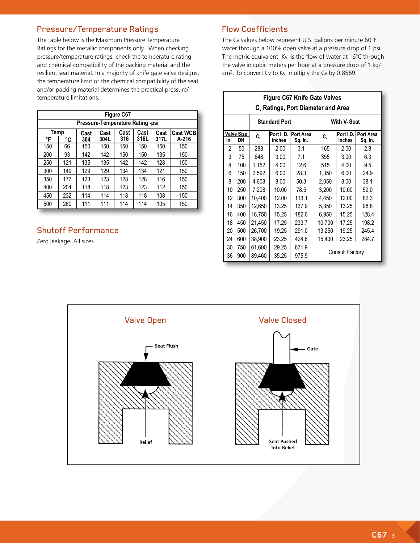## Pressure/Temperature Ratings

The table below is the Maximum Pressure Temperature Ratings for the metallic components only. When checking pressure/temperature ratings, check the temperature rating and chemical compatibility of the packing material and the resilient seat material. In a majority of knife gate valve designs, the temperature limit or the chemical compatibility of the seat and/or packing material determines the practical pressure/ temperature limitations.

| Figure C67                                                      |                                  |     |      |     |      |      |       |  |  |  |  |
|-----------------------------------------------------------------|----------------------------------|-----|------|-----|------|------|-------|--|--|--|--|
|                                                                 | Pressure-Temperature Rating -psi |     |      |     |      |      |       |  |  |  |  |
| Cast<br>Temp<br>Cast<br>Cast<br><b>Cast WCB</b><br>Cast<br>Cast |                                  |     |      |     |      |      |       |  |  |  |  |
| °F                                                              | °C                               | 304 | 304L | 316 | 316L | 317L | A-216 |  |  |  |  |
| 150                                                             | 66                               | 150 | 150  | 150 | 150  | 150  | 150   |  |  |  |  |
| 200                                                             | 93                               | 142 | 142  | 150 | 150  | 135  | 150   |  |  |  |  |
| 250                                                             | 121                              | 135 | 135  | 142 | 142  | 128  | 150   |  |  |  |  |
| 300                                                             | 149                              | 129 | 129  | 134 | 134  | 121  | 150   |  |  |  |  |
| 350                                                             | 177                              | 123 | 123  | 128 | 128  | 116  | 150   |  |  |  |  |
| 400                                                             | 204                              | 118 | 118  | 123 | 123  | 112  | 150   |  |  |  |  |
| 450                                                             | 232                              | 114 | 114  | 118 | 118  | 108  | 150   |  |  |  |  |
| 500                                                             | 260                              | 111 | 111  | 114 | 114  | 105  | 150   |  |  |  |  |

## Shutoff Performance

Zero leakage. All sizes.

## Flow Coefficients

The Cv values below represent U.S. gallons per minute 60°F water through a 100% open valve at a pressure drop of 1 psi. The metric equivalent, Kv, is the flow of water at 16°C through the valve in cubic meters per hour at a pressure drop of 1 kg/ cm2. To convert Cv to Kv, multiply the Cv by 0.8569.

|     | <b>Figure C67 Knife Gate Valves</b>            |        |                            |                             |                        |                            |                      |  |  |  |  |
|-----|------------------------------------------------|--------|----------------------------|-----------------------------|------------------------|----------------------------|----------------------|--|--|--|--|
|     | C <sub>v</sub> Ratings, Port Diameter and Area |        |                            |                             |                        |                            |                      |  |  |  |  |
|     |                                                |        | <b>Standard Port</b>       | <b>With V-Seat</b>          |                        |                            |                      |  |  |  |  |
| In. | <b>Valve Size</b><br>DN                        | C.     | Port I.D.<br><b>Inches</b> | <b>Port Area</b><br>Sq. In. | C.                     | Port I.D.<br><b>Inches</b> | Port Area<br>Sq. In. |  |  |  |  |
| 2   | 50                                             | 288    | 2.00                       | 3.1                         | 165                    | 2.00                       | 2.8                  |  |  |  |  |
| 3   | 75                                             | 648    | 3.00                       | 7.1                         | 355                    | 3.00                       | 6.3                  |  |  |  |  |
| 4   | 100                                            | 1,152  | 4.00                       | 12.6                        | 515                    | 4.00                       | 9.5                  |  |  |  |  |
| 6   | 150                                            | 2,592  | 6.00                       | 28.3                        | 1,350                  | 6.00                       | 24.9                 |  |  |  |  |
| 8   | 200                                            | 4,608  | 8.00                       | 50.3                        | 2,050                  | 8.00                       | 38.1                 |  |  |  |  |
| 10  | 250                                            | 7,208  | 10.00                      | 78.5                        | 3,200                  | 10.00                      | 59.0                 |  |  |  |  |
| 12  | 300                                            | 10.400 | 12.00                      | 113.1                       | 4,450                  | 12.00                      | 82.3                 |  |  |  |  |
| 14  | 350                                            | 12.650 | 13.25                      | 137.9                       | 5,350                  | 13.25                      | 98.8                 |  |  |  |  |
| 16  | 400                                            | 16,750 | 15.25                      | 182.6                       | 6,950                  | 15.25                      | 128.4                |  |  |  |  |
| 18  | 450                                            | 21,450 | 17.25                      | 233.7                       | 10,700                 | 17.25                      | 198.2                |  |  |  |  |
| 20  | 500                                            | 26,700 | 19.25                      | 291.0                       | 13,250                 | 19.25                      | 245.4                |  |  |  |  |
| 24  | 600                                            | 38,900 | 23.25                      | 424.6                       | 15,400                 | 23.25                      | 284.7                |  |  |  |  |
| 30  | 750                                            | 61,600 | 29.25                      | 671.9                       |                        |                            |                      |  |  |  |  |
| 36  | 900                                            | 89,460 | 35.25                      | 975.9                       | <b>Consult Factory</b> |                            |                      |  |  |  |  |

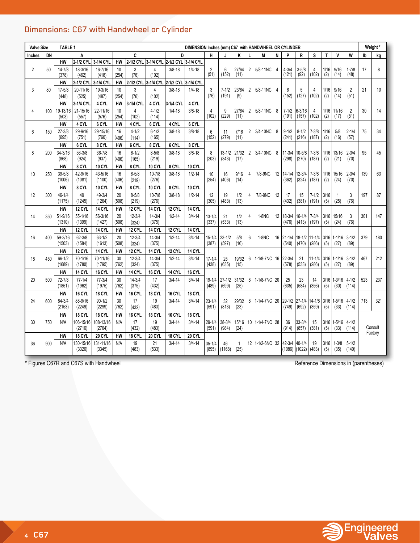## Dimensions: C67 with Handwheel or Cylinder

| <b>Valve Size</b> |     | <b>TABLE 1</b>       |                      |                       |             |                                         |                         |               |               |                         |                     |                      |                | DIMENSION Inches (mm) C67 with HANDWHEEL OR CYLINDER |                 |                                |                       |                     |             |                        |                        |     | Weight* |
|-------------------|-----|----------------------|----------------------|-----------------------|-------------|-----------------------------------------|-------------------------|---------------|---------------|-------------------------|---------------------|----------------------|----------------|------------------------------------------------------|-----------------|--------------------------------|-----------------------|---------------------|-------------|------------------------|------------------------|-----|---------|
| <b>Inches</b>     | DN  |                      | A                    |                       |             | C                                       |                         | D             |               | Н                       |                     | ĸ                    |                | M                                                    | N               | P                              | T<br>V<br>R<br>s<br>W |                     |             |                        |                        | lb  | kg      |
|                   |     | <b>HW</b>            | 2-1/2 CYL 3-1/4 CYL  |                       | <b>HW</b>   | 2-1/2 CYL 3-1/4 CYL 2-1/2 CYL 3-1/4 CYL |                         |               |               |                         |                     |                      |                |                                                      |                 |                                |                       |                     |             |                        |                        |     |         |
| $\overline{2}$    | 50  | $14 - 7/8$<br>(378)  | 18-3/16<br>(462)     | 16-7/16<br>(418)      | 10<br>(254) | 3<br>(76)                               | 4<br>(102)              | $3/8 - 18$    | $1/4 - 18$    | $\overline{2}$<br>(51)  | 6<br>(152)          | 27/64<br>(11)        | $\overline{2}$ | 5/8-11NC                                             | 4               | $4 - 3/4$<br>(121)             | $3 - 5/8$<br>(92)     | 4<br>(102)          | 1/16<br>(2) | 9/16<br>(14)           | $1 - 7/8$<br>(48)      | 17  | 8       |
|                   |     | <b>HW</b>            | 2-1/2 CYL            | 3-1/4 CYL             | <b>HW</b>   | 2-1/2 CYL                               | 3-1/4 CYL               | 2-1/2 CYL     | 3-1/4 CYL     |                         |                     |                      |                |                                                      |                 |                                |                       |                     |             |                        |                        |     |         |
| 3                 | 80  | $17 - 5/8$<br>(448)  | 20-11/16<br>(525)    | 19-3/16<br>(487)      | 10<br>(254) | 3<br>(76)                               | $\overline{4}$<br>(102) | $3/8 - 18$    | $1/4 - 18$    | 3<br>(76)               | $7 - 1/2$<br>(191)  | 23/64<br>(9)         | $\overline{2}$ | 5/8-11NC                                             | 4               | 6<br>(152)                     | 5<br>(127)            | 4<br>(102)          | 1/16<br>(2) | 9/16<br>(14)           | $\overline{2}$<br>(51) | 21  | 10      |
|                   |     | <b>HW</b>            | 3-1/4 CYL            | 4 CYL                 | <b>HW</b>   | 3-1/4 CYL                               | 4 CYL                   | 3-1/4 CYL     | 4 CYL         |                         |                     |                      |                |                                                      |                 |                                |                       |                     |             |                        |                        |     |         |
| 4                 | 100 | 19-13/16<br>(503)    | 21-15/16<br>(557)    | 22-11/16<br>(576)     | 10<br>(254) | $\overline{4}$<br>(102)                 | $4 - 1/2$<br>(114)      | $1/4 - 18$    | $3/8 - 18$    | $\overline{4}$<br>(102) | 9<br>(229)          | 27/64<br>(11)        | $\overline{2}$ | 5/8-11NC                                             | 8               | $7 - 1/2$<br>(191)             | $6 - 3/16$<br>(157)   | 4<br>(102)          | 1/16<br>(2) | 11/16<br>(17)          | $\overline{2}$<br>(51) | 30  | 14      |
|                   |     | HW                   | 4 CYL                | 6 CYL                 | <b>HW</b>   | 4 CYL                                   | 6 CYL                   | 4 CYL         | 6 CYL         |                         |                     |                      |                |                                                      |                 |                                |                       |                     |             |                        |                        |     |         |
| 6                 | 150 | $27 - 3/8$<br>(695)  | 29-9/16<br>(751)     | 29-15/16<br>(760)     | 16<br>(406) | $4 - 1/2$<br>(114)                      | $6 - 1/2$<br>(165)      | $3/8 - 18$    | $3/8 - 18$    | $6\phantom{1}$<br>(152) | 11<br>(279)         | 7/16<br>(11)         | $\overline{2}$ | 3/4-10NC                                             | 8               | $9 - 1/2$<br>(241)             | $8 - 1/2$<br>(216)    | $7 - 3/8$<br>(187)  | 1/16<br>(2) | 5/8<br>(16)            | $2 - 1/4$<br>(57)      | 75  | 34      |
|                   |     | HW                   | 6 CYL                | 8 CYL                 | <b>HW</b>   | 6 CYL                                   | 8 CYL                   | 6 CYL         | 8 CYL         |                         |                     |                      |                |                                                      |                 |                                |                       |                     |             |                        |                        |     |         |
| 8                 | 200 | 34-3/16<br>(868)     | $36 - 3/8$<br>(924)  | $36 - 7/8$<br>(937)   | 16<br>(406) | $6 - 1/2$<br>(165)                      | $8 - 5/8$<br>(219)      | $3/8 - 18$    | $3/8 - 18$    | 8<br>(203)              | $13 - 1/2$<br>(343) | 21/32<br>(17)        | $\overline{2}$ | 3/4-10NC                                             | 8               | $11 - 3/4$<br>(298)            | $10 - 5/8$<br>(270)   | $7 - 3/8$<br>(187)  | 1/16<br>(2) | 13/16<br>(21)          | $2 - 3/4$<br>(70)      | 95  | 45      |
|                   |     | <b>HW</b>            | 8 CYL                | <b>10 CYL</b>         | <b>HW</b>   | 8 CYL                                   | <b>10 CYL</b>           | 8 CYL         | <b>10 CYL</b> |                         |                     |                      |                |                                                      |                 |                                |                       |                     |             |                        |                        |     |         |
| 10                | 250 | $39 - 5/8$<br>(1006) | 42-9/16<br>(1081)    | 43-5/16<br>(1100)     | 16<br>(406) | $8 - 5/8$<br>(219)                      | $10 - 7/8$<br>(276)     | $3/8 - 18$    | $1/2 - 14$    | 10<br>(254)             | 16<br>(406)         | 9/16<br>(14)         | 4              | 7/8-9NC                                              | 12              | $14 - 1/4$<br>(362)            | $12 - 3/4$<br>(324)   | $7 - 3/8$<br>(187)  | 1/16<br>(2) | 15/16<br>(24)          | $2 - 3/4$<br>(70)      | 139 | 63      |
|                   |     | HW                   | 8 CYL                | <b>10 CYL</b>         | <b>HW</b>   | 8 CYL                                   | <b>10 CYL</b>           | 8 CYL         | <b>10 CYL</b> |                         |                     |                      |                |                                                      |                 |                                |                       |                     |             |                        |                        |     |         |
| 12                | 300 | 46-1/4<br>(1175)     | 49<br>(1245)         | 49-3/4<br>(1264)      | 20<br>(508) | $8 - 5/8$<br>(219)                      | $10 - 7/8$<br>(276)     | $3/8 - 18$    | $1/2 - 14$    | 12<br>(305)             | 19<br>(483)         | 1/2<br>(13)          | $\overline{4}$ | 7/8-9NC                                              | 12              | 17<br>(432)                    | 15<br>(381)           | $7 - 1/2$<br>(191)  | 3/16<br>(5) | $\overline{1}$<br>(25) | 3<br>(76)              | 197 | 87      |
|                   |     | HW                   | <b>12 CYL</b>        | 14 CYL                | <b>HW</b>   | <b>12 CYL</b>                           | <b>14 CYL</b>           | <b>12 CYL</b> | <b>14 CYL</b> |                         |                     |                      |                |                                                      |                 |                                |                       |                     |             |                        |                        |     |         |
| 14                | 350 | 51-9/16<br>(1310)    | 55-1/16<br>(1399)    | $56 - 3/16$<br>(1427) | 20<br>(508) | $12 - 3/4$<br>(324)                     | $14 - 3/4$<br>(375)     | $1/2 - 14$    | $3/4 - 14$    | $13 - 1/4$<br>(337)     | 21<br>(533)         | 1/2<br>(13)          | $\overline{4}$ | 1-8NC                                                | 12 <sup>°</sup> | 18-3/4<br>(476)                | $16 - 1/4$<br>(413)   | $7 - 3/4$<br>(197)  | 3/16<br>(5) | 15/16<br>(24)          | 3<br>(76)              | 301 | 147     |
|                   |     | HW                   | 12 CYL               | 14 CYL                | <b>HW</b>   | <b>12 CYL</b>                           | <b>14 CYL</b>           | <b>12 CYL</b> | <b>14 CYL</b> |                         |                     |                      |                |                                                      |                 |                                |                       |                     |             |                        |                        |     |         |
| 16                | 400 | 59-3/16<br>(1503)    | $62 - 3/8$<br>(1584) | $63 - 1/2$<br>(1613)  | 20<br>(508) | $12 - 3/4$<br>(324)                     | $14 - 3/4$<br>(375)     | $1/2 - 14$    | $3/4 - 14$    | $15 - 1/4$<br>(387)     | $23 - 1/2$<br>(597) | 5/8<br>(16)          | 6              | 1-8NC                                                | 16              | $21 - 1/4$<br>(540)            | $18 - 1/2$<br>(470)   | $11 - 1/4$<br>(286) | 3/16<br>(5) | $1 - 1/16$<br>(27)     | $3 - 1/2$<br>(89)      | 379 | 180     |
|                   |     | <b>HW</b>            | <b>12 CYL</b>        | <b>14 CYL</b>         | <b>HW</b>   | <b>12 CYL</b>                           | <b>14 CYL</b>           | <b>12 CYL</b> | <b>14 CYL</b> |                         |                     |                      |                |                                                      |                 |                                |                       |                     |             |                        |                        |     |         |
| 18                | 450 | $66 - 1/2$<br>(1689) | 70-1/16<br>(1780)    | 70-11/16<br>(1795)    | 30<br>(762) | $12 - 3/4$<br>(324)                     | $14 - 3/4$<br>(375)     | $1/2 - 14$    | $3/4 - 14$    | $17 - 1/4$<br>(438)     | 25<br>(635)         | 19/32<br>(15)        | 6              | 1-1/8-7NC 16                                         |                 | 22-3/4<br>(578)                | 21<br>(533)           | $11 - 1/4$<br>(286) | (5)         | $3/16$ 1-1/16<br>(27)  | $3 - 1/2$<br>(89)      | 467 | 212     |
|                   |     | <b>HW</b>            | <b>14 CYL</b>        | 16 CYL                | <b>HW</b>   | <b>14 CYL</b>                           | <b>16 CYL</b>           | <b>14 CYL</b> | 16 CYL        |                         |                     |                      |                |                                                      |                 |                                |                       |                     |             |                        |                        |     |         |
| 20                | 500 | 72-7/8<br>(1851)     | $77-1/4$<br>(1962)   | $77 - 3/4$<br>(1975)  | 30<br>(762) | $14 - 3/4$<br>(375)                     | 17<br>(432)             | $3/4 - 14$    | $3/4 - 14$    | 19-1/4<br>(489)         | $27 - 1/2$<br>(699) | 31/32<br>(25)        | 8              | 1-1/8-7NC 20                                         |                 | 25<br>(635)                    | 23<br>(584)           | 14<br>(356)         | 3/16<br>(5) | $1 - 3/16$<br>(30)     | $4 - 1/2$<br>(114)     | 523 | 237     |
|                   |     | HW                   | <b>16 CYL</b>        | 18 CYL                | <b>HW</b>   | <b>16 CYL</b>                           | <b>18 CYL</b>           | <b>16 CYL</b> | 18 CYL        |                         |                     |                      |                |                                                      |                 |                                |                       |                     |             |                        |                        |     |         |
| 24                | 600 | $84 - 3/4$<br>(2153) | 88-9/16<br>(2249)    | $90 - 1/2$<br>(2299)  | 30<br>(762) | 17<br>(432)                             | 19<br>(483)             | $3/4 - 14$    | $3/4 - 14$    | $23 - 1/4$<br>(591)     | 32<br>(813)         | 29/32<br>(23)        | 8              | 1-1/4-7NC 20                                         |                 | 29-1/2 27-1/4<br>(749)         | (692)                 | $14 - 1/8$<br>(359) | 3/16<br>(5) | $1 - 5/16$<br>(33)     | $4 - 1/2$<br>(114)     | 713 | 321     |
|                   |     | HW                   | 18 CYL               | 18 CYL                | HW          | 16 CYL                                  | 18 CYL                  | 16 CYL        | 18 CYL        |                         |                     |                      |                |                                                      |                 |                                |                       |                     |             |                        |                        |     |         |
| 30                | 750 | N/A                  | 106-15/16<br>(2716)  | 108-13/16<br>(2764)   | N/A         | 17<br>(432)                             | 19<br>(483)             | $3/4 - 14$    | $3/4 - 14$    | $29 - 1/4$<br>(591)     | $38 - 3/4$<br>(984) | 15/16<br>(24)        |                | 10 1-1/4-7NC 28                                      |                 | 36<br>(914)                    | 33-3/4<br>(857)       | 15<br>(381)         | 3/16<br>(5) | $1 - 5/16$<br>(33)     | $4 - 1/2$<br>(114)     |     | Consult |
|                   |     | <b>HW</b>            | 18 CYL               | 20 CYL                | HW          | 18 CYL                                  | 20 CYL                  | 18 CYL        | 20 CYL        |                         |                     |                      |                |                                                      |                 |                                |                       |                     |             |                        |                        |     | Factory |
| 36                | 900 | N/A                  | 130-15/16<br>(3326)  | 131-11/16<br>(3345)   | N/A         | 19<br>(483)                             | 21<br>(533)             | $3/4 - 14$    | $3/4 - 14$    | $35 - 1/4$<br>(895)     | 46<br>(1168)        | $\mathbf{1}$<br>(25) |                | 12 1-1/2-6NC 132                                     |                 | 42-3/4 40-1/4<br>(1086) (1022) |                       | 19<br>(483)         | 3/16<br>(5) | $1 - 3/8$<br>(35)      | $5 - 1/2$<br>(140)     |     |         |

\* Figures C67R and C67S with Handwheel **Reference Dimensions in (parentheses)** Reference Dimensions in (parentheses)

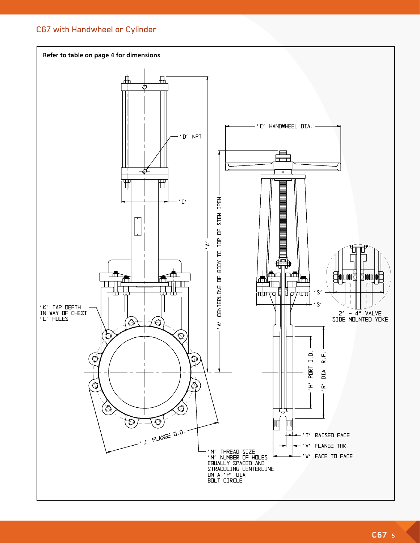## C67 with Handwheel or Cylinder

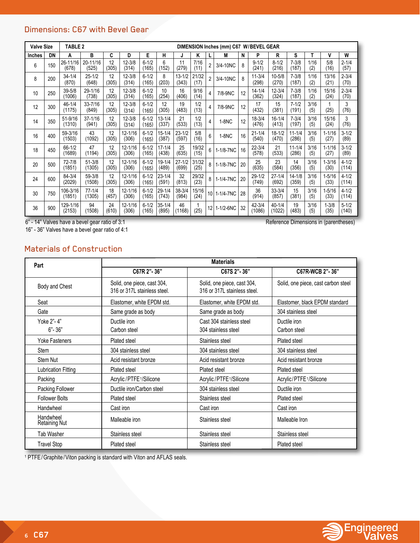## Dimensions: C67 with Bevel Gear

| <b>Valve Size</b> |     | <b>TABLE 2</b><br>DIMENSION Inches (mm) C67 W/BEVEL GEAR |                      |             |                      |                    |                     |                     |               |                         |           |    |                     |                      |                     |             |                    |                    |
|-------------------|-----|----------------------------------------------------------|----------------------|-------------|----------------------|--------------------|---------------------|---------------------|---------------|-------------------------|-----------|----|---------------------|----------------------|---------------------|-------------|--------------------|--------------------|
| Inches            | DN  | Α                                                        | в                    | C           | D                    | Е                  | н                   | J                   | ĸ             | L                       | М         | N  | P                   | R                    | S                   | т           | ٧                  | W                  |
| 6                 | 150 | 26-11/16<br>(678)                                        | 20-11/16<br>(525)    | 12<br>(305) | $12 - 3/8$<br>(314)  | $6 - 1/2$<br>(165) | 6<br>(152)          | 11<br>(279)         | 7/16<br>(11)  | $\overline{2}$          | 3/4-10NC  | 8  | $9 - 1/2$<br>(241)  | $8 - 1/2$<br>(216)   | $7 - 3/8$<br>(187)  | 1/16<br>(2) | 5/8<br>(16)        | $2 - 1/4$<br>(57)  |
| 8                 | 200 | $34 - 1/4$<br>(870)                                      | $25 - 1/2$<br>(648)  | 12<br>(305) | $12 - 3/8$<br>(314)  | $6 - 1/2$<br>(165) | 8<br>(203)          | $13 - 1/2$<br>(343) | 21/32<br>(17) | $\overline{2}$          | 3/4-10NC  | 8  | $11 - 3/4$<br>(298) | $10 - 5/8$<br>(270)  | $7 - 3/8$<br>(187)  | 1/16<br>(2) | 13/16<br>(21)      | $2 - 3/4$<br>(70)  |
| 10                | 250 | $39 - 5/8$<br>(1006)                                     | 29-1/16<br>(738)     | 12<br>(305) | $12 - 3/8$<br>(314)  | $6 - 1/2$<br>(165) | 10<br>(254)         | 16<br>(406)         | 9/16<br>(14)  | $\overline{4}$          | 7/8-9NC   | 12 | $14 - 1/4$<br>(362) | $12 - 3/4$<br>(324)  | $7 - 3/8$<br>(187)  | 1/16<br>(2) | 15/16<br>(24)      | $2 - 3/4$<br>(70)  |
| 12                | 300 | $46 - 1/4$<br>(1175)                                     | $33 - 7/16$<br>(849) | 12<br>(305) | $12 - 3/8$<br>(314)  | $6 - 1/2$<br>(165) | 12<br>(305)         | 19<br>(483)         | 1/2<br>(13)   | 4                       | 7/8-9NC   | 12 | 17<br>(432)         | 15<br>(381)          | $7 - 1/2$<br>(191)  | 3/16<br>(5) | (25)               | 3<br>(76)          |
| 14                | 350 | $51 - 9/16$<br>(1310)                                    | $37 - 1/16$<br>(941) | 12<br>(305) | $12 - 3/8$<br>(314)  | $6 - 1/2$<br>(165) | $13 - 1/4$<br>(337) | 21<br>(533)         | 1/2<br>(13)   | $\overline{\mathbf{4}}$ | 1-8NC     | 12 | $18 - 3/4$<br>(476) | $16 - 1/4$<br>(413)  | $7 - 3/4$<br>(197)  | 3/16<br>(5) | 15/16<br>(24)      | 3<br>(76)          |
| 16                | 400 | 59-3/16<br>(1503)                                        | 43<br>(1092)         | 12<br>(305) | $12 - 1/16$<br>(306) | $6 - 1/2$<br>(165) | $15 - 1/4$<br>(387) | $23 - 1/2$<br>(597) | 5/8<br>(16)   | 6                       | 1-8NC     | 16 | $21 - 1/4$<br>(540) | $18 - 1/2$<br>(470)  | $11 - 1/4$<br>(286) | 3/16<br>(5) | $1 - 1/16$<br>(27) | $3 - 1/2$<br>(89)  |
| 18                | 450 | $66 - 1/2$<br>(1689)                                     | 47<br>(1194)         | 12<br>(305) | $12 - 1/16$<br>(306) | $6 - 1/2$<br>(165) | $17 - 1/4$<br>(438) | 25<br>(635)         | 19/32<br>(15) | 6                       | 1-1/8-7NC | 16 | $22 - 3/4$<br>(578) | 21<br>(533)          | $11 - 1/4$<br>(286) | 3/16<br>(5) | $1 - 1/16$<br>(27) | $3 - 1/2$<br>(89)  |
| 20                | 500 | 72-7/8<br>(1851)                                         | $51 - 3/8$<br>(1305) | 12<br>(305) | $12 - 1/16$<br>(306) | $6 - 1/2$<br>(165) | 19-1/4<br>(489)     | $27 - 1/2$<br>(699) | 31/32<br>(25) | 8                       | 1-1/8-7NC | 20 | 25<br>(635)         | 23<br>(584)          | 14<br>(356)         | 3/16<br>(5) | $1 - 3/16$<br>(30) | $4 - 1/2$<br>(114) |
| 24                | 600 | 84-3/4<br>(2029)                                         | 59-3/8<br>(1508)     | 12<br>(305) | $12 - 1/16$<br>(306) | $6 - 1/2$<br>(165) | $23 - 1/4$<br>(591) | 32<br>(813)         | 29/32<br>(23) | 8                       | 1-1/4-7NC | 20 | $29 - 1/2$<br>(749) | $27 - 1/4$<br>(692)  | $14 - 1/8$<br>(359) | 3/16<br>(5) | $1 - 5/16$<br>(33) | $4 - 1/2$<br>(114) |
| 30                | 750 | 106-3/16<br>(1851)                                       | $77 - 1/4$<br>(1305) | 18<br>(457) | $12 - 1/16$<br>(306) | $6 - 1/2$<br>(165) | $29 - 1/4$<br>(743) | $38 - 3/4$<br>(984) | 15/16<br>(24) | 10 <sup>1</sup>         | 1-1/4-7NC | 28 | 36<br>(914)         | $33 - 3/4$<br>(857)  | 15<br>(381)         | 3/16<br>(5) | $1 - 5/16$<br>(33) | $4 - 1/2$<br>(114) |
| 36                | 900 | 129-1/16<br>(2153)                                       | 94<br>(1508)         | 24<br>(610) | $12 - 1/16$<br>(306) | $6 - 1/2$<br>(165) | $35 - 1/4$<br>(895) | 46<br>(1168)        | (25)          | 12                      | 1-1/2-6NC | 32 | 42-3/4<br>(1086)    | $40 - 1/4$<br>(1022) | 19<br>(483)         | 3/16<br>(5) | $1 - 3/8$<br>(35)  | $5 - 1/2$<br>(140) |

6" - 14" Valves have a bevel gear ratio of 3:1 Reference Dimensions in (parentheses)

16" - 36" Valves have a bevel gear ratio of 4:1

## Materials of Construction

| Part                       | <b>Materials</b>                                            |                                                             |                                     |  |  |  |  |  |  |  |  |
|----------------------------|-------------------------------------------------------------|-------------------------------------------------------------|-------------------------------------|--|--|--|--|--|--|--|--|
|                            | C67R 2"-36"                                                 | C67S 2"-36"                                                 | C67R-WCB 2"-36"                     |  |  |  |  |  |  |  |  |
| Body and Chest             | Solid, one piece, cast 304,<br>316 or 317L stainless steel. | Solid, one piece, cast 304,<br>316 or 317L stainless steel. | Solid, one piece, cast carbon steel |  |  |  |  |  |  |  |  |
| Seat                       | Elastomer, white EPDM std.                                  | Elastomer, white EPDM std.                                  | Elastomer, black EPDM standard      |  |  |  |  |  |  |  |  |
| Gate                       | Same grade as body                                          | Same grade as body                                          | 304 stainless steel                 |  |  |  |  |  |  |  |  |
| Yoke 2"-4"<br>$6 - 36$     | Ductile iron<br>Carbon steel                                | Cast 304 stainless steel<br>304 stainless steel             | Ductile iron<br>Carbon steel        |  |  |  |  |  |  |  |  |
| <b>Yoke Fasteners</b>      | Plated steel                                                | Stainless steel                                             | Plated steel                        |  |  |  |  |  |  |  |  |
| <b>Stem</b>                | 304 stainless steel                                         | 304 stainless steel                                         | 304 stainless steel                 |  |  |  |  |  |  |  |  |
| Stem Nut                   | Acid resistant bronze                                       | Acid resistant bronze                                       | Acid resistant bronze               |  |  |  |  |  |  |  |  |
| Lubrication Fitting        | Plated steel                                                | Plated steel                                                | Plated steel                        |  |  |  |  |  |  |  |  |
| Packing                    | Acrylic/PTFE1/Silicone                                      | Acrylic/PTFE1/Silicone                                      | Acrylic/PTFE <sup>1</sup> /Silicone |  |  |  |  |  |  |  |  |
| Packing Follower           | Ductile iron/Carbon steel                                   | 304 stainless steel                                         | Ductile iron                        |  |  |  |  |  |  |  |  |
| <b>Follower Bolts</b>      | Plated steel                                                | Stainless steel                                             | Plated steel                        |  |  |  |  |  |  |  |  |
| Handwheel                  | Cast iron                                                   | Cast iron                                                   | Cast iron                           |  |  |  |  |  |  |  |  |
| Handwheel<br>Retaining Nut | Malleable iron                                              | Stainless steel                                             | Malleable Iron                      |  |  |  |  |  |  |  |  |
| <b>Tab Washer</b>          | Stainless steel                                             | Stainless steel                                             | Stainless steel                     |  |  |  |  |  |  |  |  |
| <b>Travel Stop</b>         | Plated steel                                                | Stainless steel                                             | Plated steel                        |  |  |  |  |  |  |  |  |

1 PTFE/Graphite/Viton packing is standard with Viton and AFLAS seals.

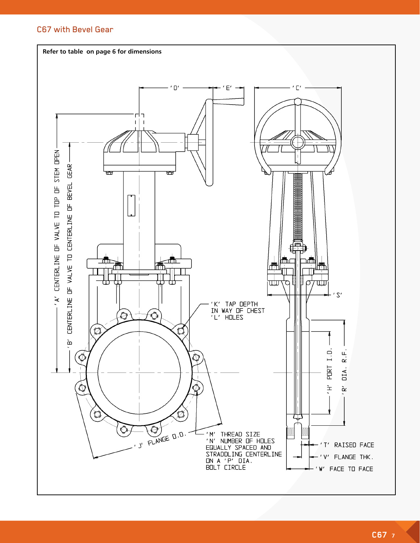#### C67 with Bevel Gear